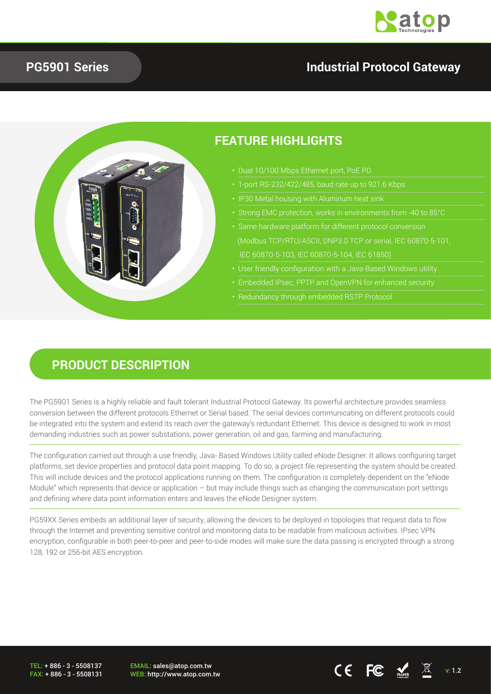

#### **PG5901 Series**

### **Industrial Protocol Gateway**



#### **PRODUCT DESCRIPTION**

The PG5901 Series is a highly reliable and fault tolerant Industrial Protocol Gateway. Its powerful architecture provides seamless conversion between the different protocols Ethernet or Serial based. The serial devices communicating on different protocols could be integrated into the system and extend its reach over the gateway's redundant Ethernet. This device is designed to work in most demanding industries such as power substations, power generation, oil and gas, farming and manufacturing.

The configuration carried out through a use friendly, Java- Based Windows Utility called eNode Designer. It allows configuring target platforms, set device properties and protocol data point mapping. To do so, a project file representing the system should be created. This will include devices and the protocol applications running on them. The configuration is completely dependent on the "eNode Module" which represents that device or application – but may include things such as changing the communication port settings and defining where data point information enters and leaves the eNode Designer system.

PG59XX Series embeds an additional layer of security, allowing the devices to be deployed in topologies that request data to flow through the Internet and preventing sensitive control and monitoring data to be readable from malicious activities. IPsec VPN encryption, configurable in both peer-to-peer and peer-to-side modes will make sure the data passing is encrypted through a strong 128, 192 or 256-bit AES encryption.

TEL: + 886 - 3 - 5508137 FAX: + 886 - 3 - 5508131 EMAIL: sales@atop.com.tw

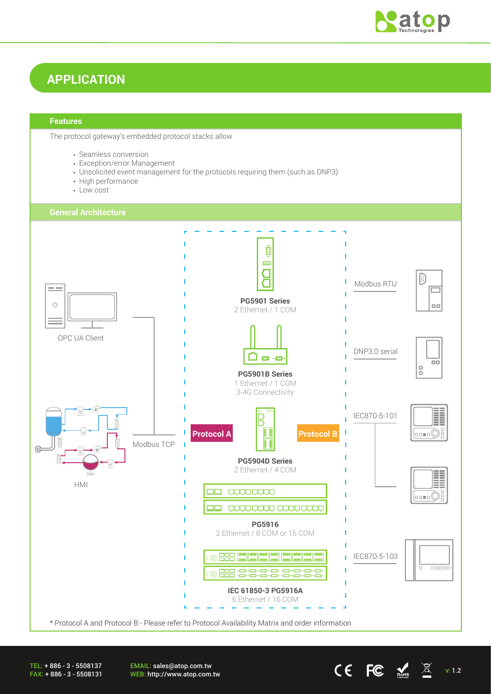

# **APPLICATION**

#### **Features**

The protocol gateway's embedded protocol stacks allow

- Seamless conversion
- Exception/error Management
- Unsolicited event management for the protocols requiring them (such as DNP3)
- High performance
- Low cost



TEL: + 886 - 3 - 5508137 FAX: + 886 - 3 - 5508131 EMAIL: sales@atop.com.tw EWAIL. Sales water com.tw **CE**  $\mathsf{FC}$   $\mathsf{M}$  v: 1.2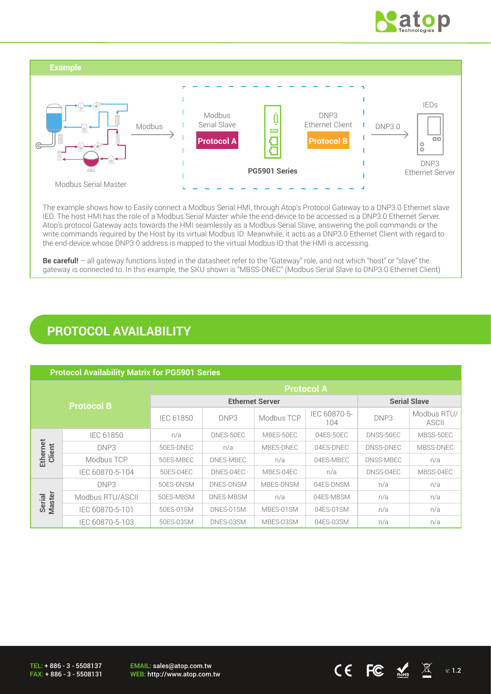



The example shows how to Easily connect a Modbus Serial HMI, through Atop's Protocol Gateway to a DNP3.0 Ethernet slave IED. The host HMI has the role of a Modbus Serial Master while the end-device to be accessed is a DNP3.0 Ethernet Server. Atop's protocol Gateway acts towards the HMI seamlessly as a Modbus Serial Slave, answering the poll commands or the write commands required by the Host by its virtual Modbus ID. Meanwhile, it acts as a DNP3.0 Ethernet Client with regard to the end-device whose DNP3.0 address is mapped to the virtual Modbus ID that the HMI is accessing.

**Be careful!** – all gateway functions listed in the datasheet refer to the "Gateway" role, and not which "host" or "slave" the gateway is connected to. In this example, the SKU shown is "MBSS-DNEC" (Modbus Serial Slave to DNP3.0 Ethernet Client)

## **PROTOCOL AVAILABILITY**

| <b>Protocol Availability Matrix for PG5901 Series</b> |                  |                        |           |            |                     |           |                             |
|-------------------------------------------------------|------------------|------------------------|-----------|------------|---------------------|-----------|-----------------------------|
| <b>Protocol B</b>                                     |                  | <b>Protocol A</b>      |           |            |                     |           |                             |
|                                                       |                  | <b>Ethernet Server</b> |           |            | <b>Serial Slave</b> |           |                             |
|                                                       |                  | <b>IEC 61850</b>       | DNP3      | Modbus TCP | IEC 60870-5-<br>104 | DNP3      | Modbus RTU/<br><b>ASCII</b> |
|                                                       | IEC 61850        | n/a                    | DNES-50EC | MBES-50EC  | 04ES-50EC           | DNSS-50EC | MBSS-50EC                   |
|                                                       | DNP3             | 50ES-DNEC              | n/a       | MBES-DNEC  | 04ES-DNEC           | DNSS-DNEC | MBSS-DNEC                   |
| Ethernet<br>Client                                    | Modbus TCP       | 50ES-MBEC              | DNES-MBEC | n/a        | 04ES-MBEC           | DNSS-MBEC | n/a                         |
|                                                       | IEC 60870-5-104  | 50ES-04EC              | DNES-04EC | MBES-04EC  | n/a                 | DNSS-04EC | MBSS-04EC                   |
|                                                       | DNP3             | 50ES-DNSM              | DNES-DNSM | MBES-DNSM  | 04ES-DNSM           | n/a       | n/a                         |
| Serial<br>Master                                      | Modbus RTU/ASCII | 50ES-MBSM              | DNES-MBSM | n/a        | 04ES-MBSM           | n/a       | n/a                         |
|                                                       | IEC 60870-5-101  | 50ES-01SM              | DNES-01SM | MBES-01SM  | 04ES-01SM           | n/a       | n/a                         |
|                                                       | IEC 60870-5-103  | 50ES-03SM              | DNES-03SM | MBES-03SM  | 04ES-03SM           | n/a       | n/a                         |

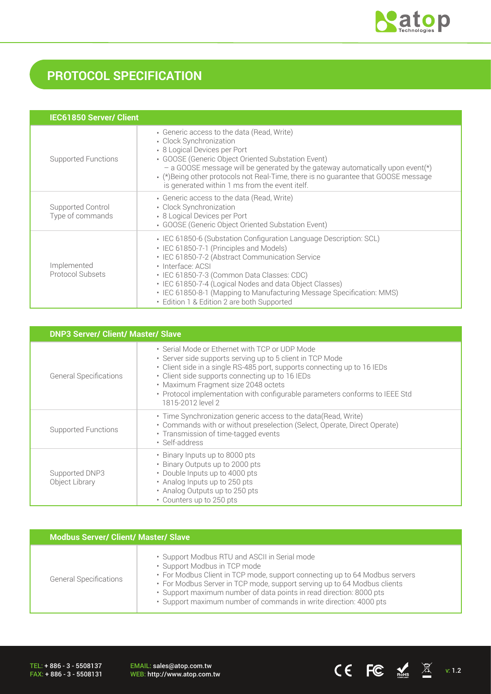

# **PROTOCOL SPECIFICATION**

| <b>IEC61850 Server/ Client</b>         |                                                                                                                                                                                                                                                                                                                                                                                                                       |  |  |  |
|----------------------------------------|-----------------------------------------------------------------------------------------------------------------------------------------------------------------------------------------------------------------------------------------------------------------------------------------------------------------------------------------------------------------------------------------------------------------------|--|--|--|
| Supported Functions                    | • Generic access to the data (Read, Write)<br>• Clock Synchronization<br>• 8 Logical Devices per Port<br>• GOOSE (Generic Object Oriented Substation Event)<br>- a GOOSE message will be generated by the gateway automatically upon event(*)<br>. (*)Being other protocols not Real-Time, there is no quarantee that GOOSE message<br>is generated within 1 ms from the event itelf.                                 |  |  |  |
| Supported Control<br>Type of commands  | • Generic access to the data (Read, Write)<br>• Clock Synchronization<br>• 8 Logical Devices per Port<br>• GOOSE (Generic Object Oriented Substation Event)                                                                                                                                                                                                                                                           |  |  |  |
| Implemented<br><b>Protocol Subsets</b> | • IEC 61850-6 (Substation Configuration Language Description: SCL)<br>• IEC 61850-7-1 (Principles and Models)<br>• IEC 61850-7-2 (Abstract Communication Service<br>· Interface: ACSI<br>· IEC 61850-7-3 (Common Data Classes: CDC)<br>• IEC 61850-7-4 (Logical Nodes and data Object Classes)<br>• IEC 61850-8-1 (Mapping to Manufacturing Message Specification: MMS)<br>• Edition 1 & Edition 2 are both Supported |  |  |  |

| <b>DNP3 Server/ Client/ Master/ Slave</b> |                                                                                                                                                                                                                                                                                                                                                                                       |  |  |
|-------------------------------------------|---------------------------------------------------------------------------------------------------------------------------------------------------------------------------------------------------------------------------------------------------------------------------------------------------------------------------------------------------------------------------------------|--|--|
| <b>General Specifications</b>             | • Serial Mode or Ethernet with TCP or UDP Mode<br>· Server side supports serving up to 5 client in TCP Mode<br>• Client side in a single RS-485 port, supports connecting up to 16 IEDs<br>• Client side supports connecting up to 16 IEDs<br>• Maximum Fragment size 2048 octets<br>• Protocol implementation with configurable parameters conforms to IEEE Std<br>1815-2012 level 2 |  |  |
| <b>Supported Functions</b>                | • Time Synchronization generic access to the data (Read, Write)<br>• Commands with or without preselection (Select, Operate, Direct Operate)<br>• Transmission of time-tagged events<br>· Self-address                                                                                                                                                                                |  |  |
| Supported DNP3<br>Object Library          | • Binary Inputs up to 8000 pts<br>• Binary Outputs up to 2000 pts<br>• Double Inputs up to 4000 pts<br>• Analog Inputs up to 250 pts<br>• Analog Outputs up to 250 pts<br>• Counters up to 250 pts                                                                                                                                                                                    |  |  |

| <b>Modbus Server/ Client/ Master/ Slave</b> |                                                                                                                                                                                                                                                                                                                                                                                      |  |  |  |
|---------------------------------------------|--------------------------------------------------------------------------------------------------------------------------------------------------------------------------------------------------------------------------------------------------------------------------------------------------------------------------------------------------------------------------------------|--|--|--|
| <b>General Specifications</b>               | • Support Modbus RTU and ASCII in Serial mode<br>• Support Modbus in TCP mode<br>• For Modbus Client in TCP mode, support connecting up to 64 Modbus servers<br>• For Modbus Server in TCP mode, support serving up to 64 Modbus clients<br>· Support maximum number of data points in read direction: 8000 pts<br>· Support maximum number of commands in write direction: 4000 pts |  |  |  |

TEL: + 886 - 3 - 5508137 FAX: + 886 - 3 - 5508131 EMAIL: sales@atop.com.tw<br>WEB: http://www.atop.com.tw

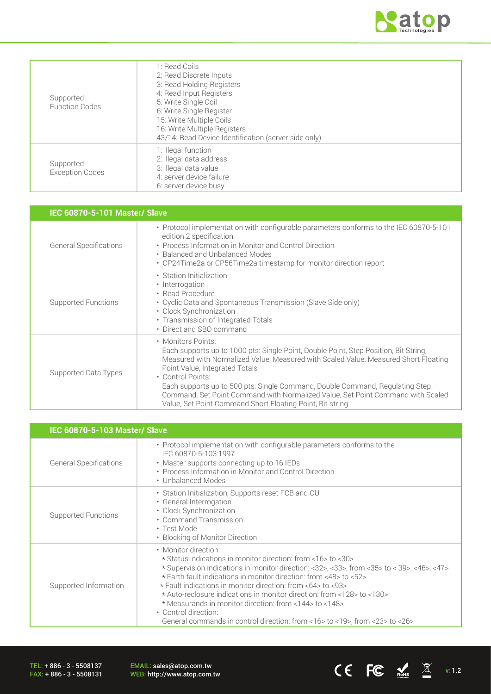

| Supported<br><b>Function Codes</b>  | 1: Read Coils<br>2: Read Discrete Inputs<br>3: Read Holding Registers<br>4: Read Input Registers<br>5: Write Single Coil<br>6: Write Single Register<br>15: Write Multiple Coils<br>16: Write Multiple Registers<br>43/14: Read Device Identification (server side only) |
|-------------------------------------|--------------------------------------------------------------------------------------------------------------------------------------------------------------------------------------------------------------------------------------------------------------------------|
| Supported<br><b>Exception Codes</b> | 1: illegal function<br>2: illegal data address<br>3: illegal data value<br>4: server device failure<br>6: server device busy                                                                                                                                             |

| <b>IEC 60870-5-101 Master/ Slave</b> |                                                                                                                                                                                                                                                                                                                                                                                                                                                                                          |  |  |
|--------------------------------------|------------------------------------------------------------------------------------------------------------------------------------------------------------------------------------------------------------------------------------------------------------------------------------------------------------------------------------------------------------------------------------------------------------------------------------------------------------------------------------------|--|--|
| <b>General Specifications</b>        | • Protocol implementation with configurable parameters conforms to the IEC 60870-5-101<br>edition 2 specification<br>• Process Information in Monitor and Control Direction<br>• Balanced and Unbalanced Modes<br>• CP24Time2a or CP56Time2a timestamp for monitor direction report                                                                                                                                                                                                      |  |  |
| <b>Supported Functions</b>           | • Station Initialization<br>• Interrogation<br>• Read Procedure<br>• Cyclic Data and Spontaneous Transmission (Slave Side only)<br>• Clock Synchronization<br>• Transmission of Integrated Totals<br>• Direct and SBO command                                                                                                                                                                                                                                                            |  |  |
| Supported Data Types                 | • Monitors Points:<br>Each supports up to 1000 pts: Single Point, Double Point, Step Position, Bit String,<br>Measured with Normalized Value, Measured with Scaled Value, Measured Short Floating<br>Point Value, Integrated Totals<br>• Control Points:<br>Each supports up to 500 pts: Single Command, Double Command, Requlating Step<br>Command, Set Point Command with Normalized Value, Set Point Command with Scaled<br>Value, Set Point Command Short Floating Point, Bit string |  |  |

| <b>IEC 60870-5-103 Master/ Slave</b> |                                                                                                                                                                                                                                                                                                                                                                                                                                                                                                                                                                  |  |  |  |
|--------------------------------------|------------------------------------------------------------------------------------------------------------------------------------------------------------------------------------------------------------------------------------------------------------------------------------------------------------------------------------------------------------------------------------------------------------------------------------------------------------------------------------------------------------------------------------------------------------------|--|--|--|
| <b>General Specifications</b>        | • Protocol implementation with configurable parameters conforms to the<br>IEC 60870-5-103:1997<br>• Master supports connecting up to 16 IEDs<br>• Process Information in Monitor and Control Direction<br>• Unbalanced Modes                                                                                                                                                                                                                                                                                                                                     |  |  |  |
| <b>Supported Functions</b>           | • Station Initialization, Supports reset FCB and CU<br>• General Interrogation<br>• Clock Synchronization<br>• Command Transmission<br>• Test Mode<br>• Blocking of Monitor Direction                                                                                                                                                                                                                                                                                                                                                                            |  |  |  |
| Supported Information                | • Monitor direction:<br>* Status indications in monitor direction: from <16>to <30><br>* Supervision indications in monitor direction: <32>, <33>, from <35> to < 39>, <46>, <47><br>* Earth fault indications in monitor direction: from <48> to <52><br>* Fault indications in monitor direction: from <64> to <93><br>* Auto-reclosure indications in monitor direction: from <128> to <130><br>* Measurands in monitor direction: from <144> to <148><br>• Control direction:<br>General commands in control direction: from <16> to <19>, from <23> to <26> |  |  |  |

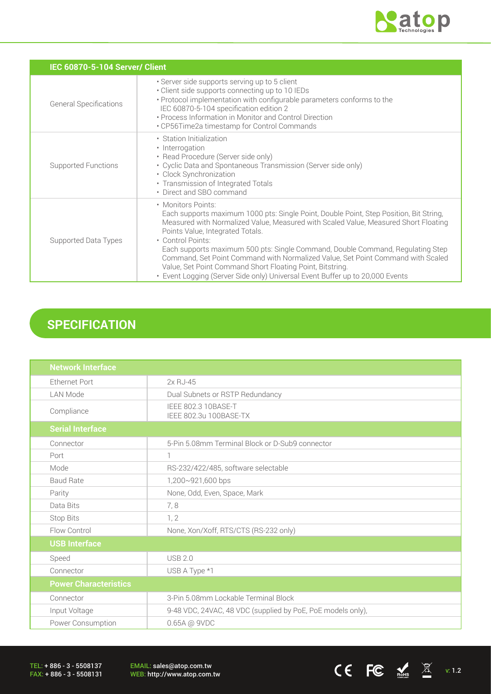

CE FC  $\underset{\text{nohs}}{\mathcal{L}}$   $\mathbb{X}$  v: 1.2

|                               | IEC 60870-5-104 Server/ Client                                                                                                                                                                                                                                                                                                                                                                                                                                                                                                                                                  |  |  |  |  |
|-------------------------------|---------------------------------------------------------------------------------------------------------------------------------------------------------------------------------------------------------------------------------------------------------------------------------------------------------------------------------------------------------------------------------------------------------------------------------------------------------------------------------------------------------------------------------------------------------------------------------|--|--|--|--|
| <b>General Specifications</b> | · Server side supports serving up to 5 client<br>• Client side supports connecting up to 10 IEDs<br>• Protocol implementation with configurable parameters conforms to the<br>IEC 60870-5-104 specification edition 2<br>• Process Information in Monitor and Control Direction<br>• CP56Time2a timestamp for Control Commands                                                                                                                                                                                                                                                  |  |  |  |  |
| <b>Supported Functions</b>    | • Station Initialization<br>• Interrogation<br>• Read Procedure (Server side only)<br>• Cyclic Data and Spontaneous Transmission (Server side only)<br>• Clock Synchronization<br>• Transmission of Integrated Totals<br>• Direct and SBO command                                                                                                                                                                                                                                                                                                                               |  |  |  |  |
| Supported Data Types          | • Monitors Points:<br>Each supports maximum 1000 pts: Single Point, Double Point, Step Position, Bit String,<br>Measured with Normalized Value, Measured with Scaled Value, Measured Short Floating<br>Points Value, Integrated Totals.<br>• Control Points:<br>Each supports maximum 500 pts: Single Command, Double Command, Regulating Step<br>Command, Set Point Command with Normalized Value, Set Point Command with Scaled<br>Value, Set Point Command Short Floating Point, Bitstring.<br>• Event Logging (Server Side only) Universal Event Buffer up to 20,000 Events |  |  |  |  |

# **SPECIFICATION**

| <b>Network Interface</b>     |                                                             |  |  |
|------------------------------|-------------------------------------------------------------|--|--|
| <b>Ethernet Port</b>         | $2xRJ-45$                                                   |  |  |
| <b>LAN Mode</b>              | Dual Subnets or RSTP Redundancy                             |  |  |
| Compliance                   | IEEE 802.3 10BASE-T<br>IEEE 802.3u 100BASE-TX               |  |  |
| <b>Serial Interface</b>      |                                                             |  |  |
| Connector                    | 5-Pin 5.08mm Terminal Block or D-Sub9 connector             |  |  |
| Port                         | 1                                                           |  |  |
| Mode                         | RS-232/422/485, software selectable                         |  |  |
| <b>Baud Rate</b>             | 1,200~921,600 bps                                           |  |  |
| Parity                       | None, Odd, Even, Space, Mark                                |  |  |
| Data Bits                    | 7,8                                                         |  |  |
| Stop Bits                    | 1, 2                                                        |  |  |
| Flow Control                 | None, Xon/Xoff, RTS/CTS (RS-232 only)                       |  |  |
| <b>USB Interface</b>         |                                                             |  |  |
| Speed                        | <b>USB 2.0</b>                                              |  |  |
| Connector                    | USB A Type *1                                               |  |  |
| <b>Power Characteristics</b> |                                                             |  |  |
| Connector                    | 3-Pin 5.08mm Lockable Terminal Block                        |  |  |
| Input Voltage                | 9-48 VDC, 24VAC, 48 VDC (supplied by PoE, PoE models only), |  |  |
| Power Consumption            | 0.65A @ 9VDC                                                |  |  |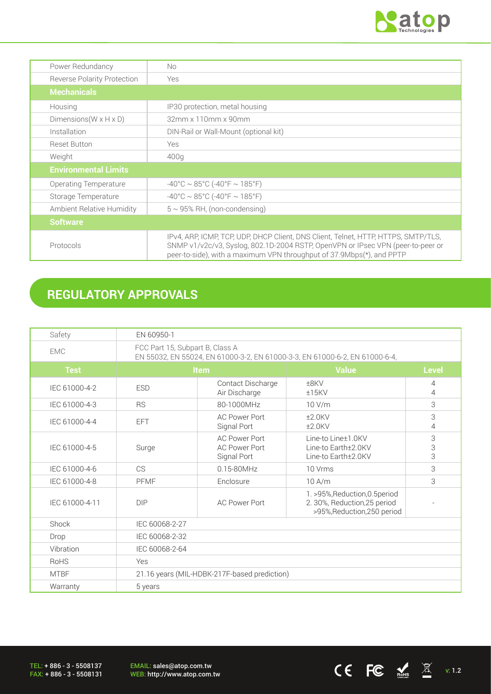

 $CE$  FC  $\frac{1}{\kappa}$   $\frac{1}{\kappa}$   $\frac{1}{\kappa}$   $\frac{1}{\kappa}$  1.2

| Power Redundancy                                                | No.                                                                                                                                                                                                                                            |
|-----------------------------------------------------------------|------------------------------------------------------------------------------------------------------------------------------------------------------------------------------------------------------------------------------------------------|
| <b>Reverse Polarity Protection</b>                              | Yes                                                                                                                                                                                                                                            |
| <b>Mechanicals</b>                                              |                                                                                                                                                                                                                                                |
| Housing                                                         | IP30 protection, metal housing                                                                                                                                                                                                                 |
| Dimensions ( $W \times H \times D$ )                            | 32mm x 110mm x 90mm                                                                                                                                                                                                                            |
| Installation                                                    | DIN-Rail or Wall-Mount (optional kit)                                                                                                                                                                                                          |
| <b>Reset Button</b>                                             | <b>Yes</b>                                                                                                                                                                                                                                     |
| Weight                                                          | 400g                                                                                                                                                                                                                                           |
| <b>Environmental Limits</b>                                     |                                                                                                                                                                                                                                                |
| Operating Temperature                                           | $-40^{\circ}$ C ~ 85°C (-40°F ~ 185°F)                                                                                                                                                                                                         |
| Storage Temperature                                             | $-40^{\circ}$ C ~ 85°C (-40°F ~ 185°F)                                                                                                                                                                                                         |
| Ambient Relative Humidity<br>$5 \sim 95\%$ RH, (non-condensing) |                                                                                                                                                                                                                                                |
| <b>Software</b>                                                 |                                                                                                                                                                                                                                                |
| Protocols                                                       | IPv4, ARP, ICMP, TCP, UDP, DHCP Client, DNS Client, Telnet, HTTP, HTTPS, SMTP/TLS,<br>SNMP v1/v2c/v3, Syslog, 802.1D-2004 RSTP, OpenVPN or IPsec VPN (peer-to-peer or<br>peer-to-side), with a maximum VPN throughput of 37.9Mbps(*), and PPTP |

# **REGULATORY APPROVALS**

| Safety         | EN 60950-1                                                                                                     |                                                             |                                                                                               |                     |
|----------------|----------------------------------------------------------------------------------------------------------------|-------------------------------------------------------------|-----------------------------------------------------------------------------------------------|---------------------|
| <b>EMC</b>     | FCC Part 15, Subpart B, Class A<br>EN 55032, EN 55024, EN 61000-3-2, EN 61000-3-3, EN 61000-6-2, EN 61000-6-4, |                                                             |                                                                                               |                     |
| <b>Test</b>    | <b>Item</b>                                                                                                    |                                                             | <b>Value</b>                                                                                  | <b>Level</b>        |
| IEC 61000-4-2  | <b>ESD</b>                                                                                                     | Contact Discharge<br>Air Discharge                          | ±8KV<br>$±15$ KV                                                                              | $\overline{4}$<br>4 |
| IEC 61000-4-3  | <b>RS</b>                                                                                                      | 80-1000MHz                                                  | 10 V/m                                                                                        | 3                   |
| IEC 61000-4-4  | <b>EFT</b>                                                                                                     | <b>AC Power Port</b><br>Signal Port                         | $±2.0$ KV<br>$±2.0$ KV                                                                        | 3<br>4              |
| IEC 61000-4-5  | Surge                                                                                                          | <b>AC Power Port</b><br><b>AC Power Port</b><br>Signal Port | Line-to Line±1.0KV<br>Line-to Earth±2.0KV<br>Line-to Earth±2.0KV                              | 3<br>3<br>3         |
| IEC 61000-4-6  | <b>CS</b>                                                                                                      | $0.15 - 80$ MHz                                             | 10 Vrms                                                                                       | 3                   |
| IEC 61000-4-8  | PFMF                                                                                                           | Enclosure                                                   | 10A/m                                                                                         | 3                   |
| IEC 61000-4-11 | DIP                                                                                                            | <b>AC Power Port</b>                                        | 1. >95%, Reduction, 0.5 period<br>2. 30%, Reduction, 25 period<br>>95%, Reduction, 250 period |                     |
| Shock          | IEC 60068-2-27                                                                                                 |                                                             |                                                                                               |                     |
| Drop           | IEC 60068-2-32                                                                                                 |                                                             |                                                                                               |                     |
| Vibration      | IEC 60068-2-64                                                                                                 |                                                             |                                                                                               |                     |
| <b>RoHS</b>    | Yes                                                                                                            |                                                             |                                                                                               |                     |
| <b>MTBF</b>    | 21.16 years (MIL-HDBK-217F-based prediction)                                                                   |                                                             |                                                                                               |                     |
| Warranty       | 5 years                                                                                                        |                                                             |                                                                                               |                     |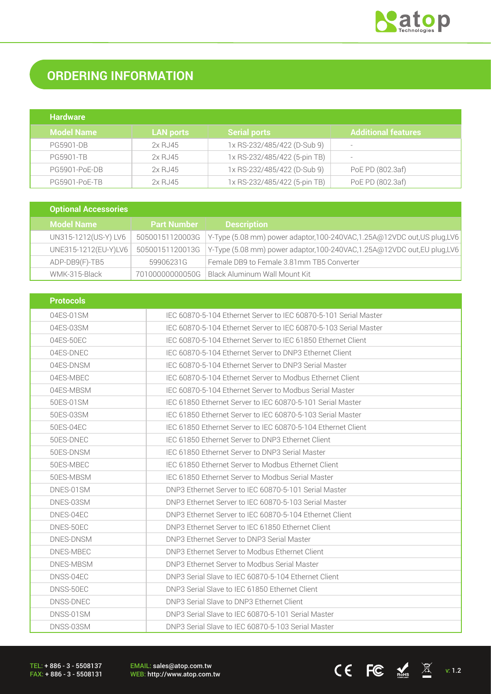

# **ORDERING INFORMATION**

| <b>Hardware</b>   |                  |                              |                       |
|-------------------|------------------|------------------------------|-----------------------|
| <b>Model Name</b> | <b>LAN ports</b> | <b>Serial ports</b>          | Additional features . |
| <b>PG5901-DB</b>  | 2x RJ45          | 1x RS-232/485/422 (D-Sub 9)  |                       |
| <b>PG5901-TB</b>  | 2x RJ45          | 1x RS-232/485/422 (5-pin TB) |                       |
| PG5901-PoE-DB     | 2x RJ45          | 1x RS-232/485/422 (D-Sub 9)  | PoE PD (802.3af)      |
| PG5901-PoE-TB     | 2x RJ45          | 1x RS-232/485/422 (5-pin TB) | PoE PD (802.3af)      |

| <b>Optional Accessories</b> |                    |                                                                           |
|-----------------------------|--------------------|---------------------------------------------------------------------------|
| <b>Model Name</b>           | <b>Part Number</b> | <b>Description</b>                                                        |
| UN315-1212(US-Y) LV6        | 50500151120003G    | Y-Type (5.08 mm) power adaptor, 100-240VAC, 1.25A@12VDC out, US plug, LV6 |
| UNE315-1212(EU-Y)LV6        | 50500151120013G    | Y-Type (5.08 mm) power adaptor, 100-240VAC, 1.25A@12VDC out, EU plug, LV6 |
| ADP-DB9(F)-TB5              | 59906231G          | Female DB9 to Female 3.81mm TB5 Converter                                 |
| WMK-315-Black               | 70100000000050G    | Black Aluminum Wall Mount Kit                                             |

| <b>Protocols</b> |                                                                  |
|------------------|------------------------------------------------------------------|
| 04ES-01SM        | IEC 60870-5-104 Ethernet Server to IEC 60870-5-101 Serial Master |
| 04ES-03SM        | IEC 60870-5-104 Ethernet Server to IEC 60870-5-103 Serial Master |
| 04ES-50EC        | IEC 60870-5-104 Ethernet Server to IEC 61850 Ethernet Client     |
| 04ES-DNEC        | IEC 60870-5-104 Ethernet Server to DNP3 Ethernet Client          |
| 04ES-DNSM        | IEC 60870-5-104 Ethernet Server to DNP3 Serial Master            |
| 04ES-MBEC        | IEC 60870-5-104 Ethernet Server to Modbus Ethernet Client        |
| 04ES-MBSM        | IEC 60870-5-104 Ethernet Server to Modbus Serial Master          |
| 50ES-01SM        | IEC 61850 Ethernet Server to IEC 60870-5-101 Serial Master       |
| 50ES-03SM        | IEC 61850 Ethernet Server to IEC 60870-5-103 Serial Master       |
| 50ES-04EC        | IEC 61850 Ethernet Server to IEC 60870-5-104 Ethernet Client     |
| 50ES-DNEC        | IEC 61850 Ethernet Server to DNP3 Ethernet Client                |
| 50ES-DNSM        | IFC 61850 Ethernet Server to DNP3 Serial Master                  |
| 50ES-MBEC        | IEC 61850 Ethernet Server to Modbus Ethernet Client              |
| 50ES-MBSM        | IEC 61850 Ethernet Server to Modbus Serial Master                |
| DNES-01SM        | DNP3 Ethernet Server to IEC 60870-5-101 Serial Master            |
| DNES-03SM        | DNP3 Ethernet Server to IEC 60870-5-103 Serial Master            |
| DNES-04EC        | DNP3 Ethernet Server to IEC 60870-5-104 Ethernet Client          |
| DNES-50EC        | DNP3 Ethernet Server to IEC 61850 Ethernet Client                |
| DNES-DNSM        | DNP3 Ethernet Server to DNP3 Serial Master                       |
| DNES-MBEC        | DNP3 Ethernet Server to Modbus Ethernet Client                   |
| DNES-MBSM        | DNP3 Ethernet Server to Modbus Serial Master                     |
| DNSS-04EC        | DNP3 Serial Slave to IEC 60870-5-104 Ethernet Client             |
| DNSS-50EC        | DNP3 Serial Slave to IEC 61850 Ethernet Client                   |
| DNSS-DNEC        | DNP3 Serial Slave to DNP3 Ethernet Client                        |
| DNSS-01SM        | DNP3 Serial Slave to IEC 60870-5-101 Serial Master               |
| DNSS-03SM        | DNP3 Serial Slave to IEC 60870-5-103 Serial Master               |

TEL: + 886 - 3 - 5508137 FAX: + 886 - 3 - 5508131 EMAIL: sales@atop.com.tw<br>WEB: http://www.atop.com.tw